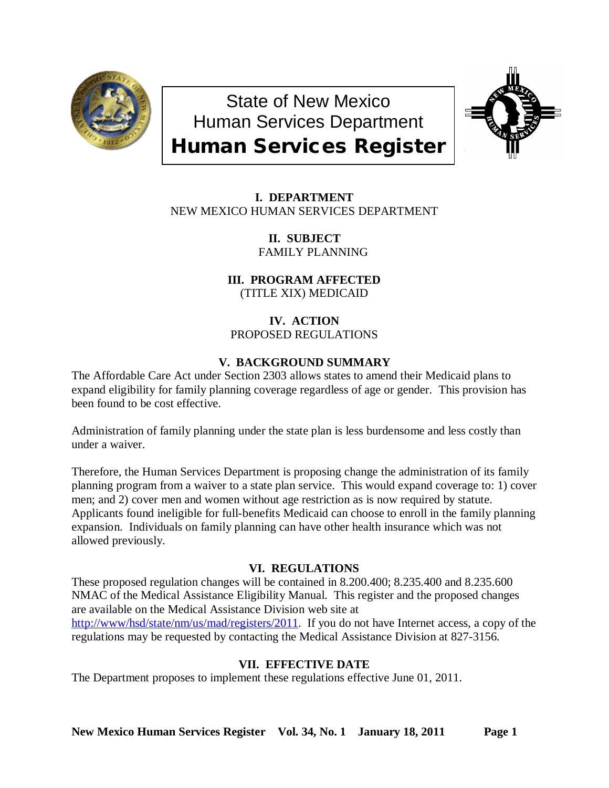

State of New Mexico Human Services Department Human Services Register



**I. DEPARTMENT** NEW MEXICO HUMAN SERVICES DEPARTMENT

> **II. SUBJECT** FAMILY PLANNING

**III. PROGRAM AFFECTED** (TITLE XIX) MEDICAID

# **IV. ACTION** PROPOSED REGULATIONS

# **V. BACKGROUND SUMMARY**

The Affordable Care Act under Section 2303 allows states to amend their Medicaid plans to expand eligibility for family planning coverage regardless of age or gender. This provision has been found to be cost effective.

Administration of family planning under the state plan is less burdensome and less costly than under a waiver.

Therefore, the Human Services Department is proposing change the administration of its family planning program from a waiver to a state plan service. This would expand coverage to: 1) cover men; and 2) cover men and women without age restriction as is now required by statute. Applicants found ineligible for full-benefits Medicaid can choose to enroll in the family planning expansion. Individuals on family planning can have other health insurance which was not allowed previously.

## **VI. REGULATIONS**

These proposed regulation changes will be contained in 8.200.400; 8.235.400 and 8.235.600 NMAC of the Medical Assistance Eligibility Manual. This register and the proposed changes are available on the Medical Assistance Division web site at [http://www/hsd/state/nm/us/mad/registers/2011.](http://www/hsd/state/nm/us/mad/registers/2011) If you do not have Internet access, a copy of the regulations may be requested by contacting the Medical Assistance Division at 827-3156.

# **VII. EFFECTIVE DATE**

The Department proposes to implement these regulations effective June 01, 2011.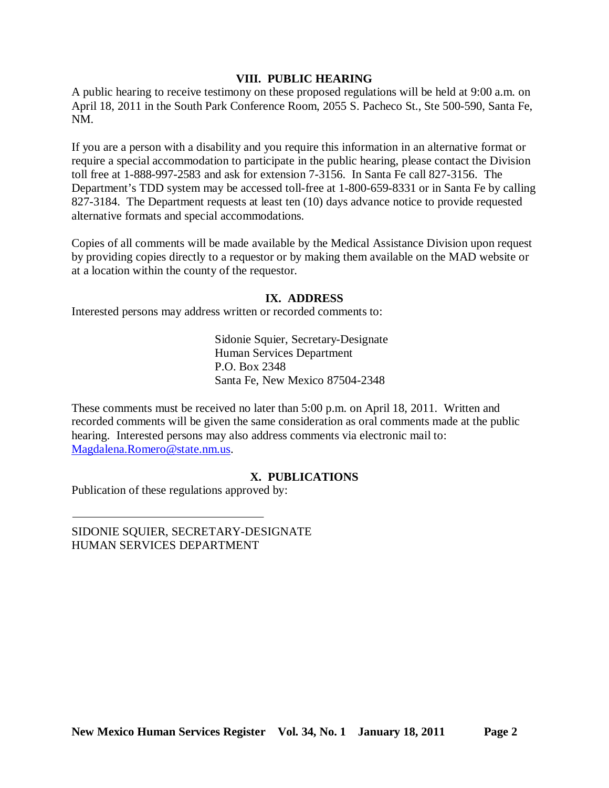### **VIII. PUBLIC HEARING**

A public hearing to receive testimony on these proposed regulations will be held at 9:00 a.m. on April 18, 2011 in the South Park Conference Room, 2055 S. Pacheco St., Ste 500-590, Santa Fe, NM.

If you are a person with a disability and you require this information in an alternative format or require a special accommodation to participate in the public hearing, please contact the Division toll free at 1-888-997-2583 and ask for extension 7-3156. In Santa Fe call 827-3156. The Department's TDD system may be accessed toll-free at 1-800-659-8331 or in Santa Fe by calling 827-3184. The Department requests at least ten (10) days advance notice to provide requested alternative formats and special accommodations.

Copies of all comments will be made available by the Medical Assistance Division upon request by providing copies directly to a requestor or by making them available on the MAD website or at a location within the county of the requestor.

## **IX. ADDRESS**

Interested persons may address written or recorded comments to:

Sidonie Squier, Secretary-Designate Human Services Department P.O. Box 2348 Santa Fe, New Mexico 87504-2348

These comments must be received no later than 5:00 p.m. on April 18, 2011. Written and recorded comments will be given the same consideration as oral comments made at the public hearing. Interested persons may also address comments via electronic mail to: [Magdalena.Romero@state.nm.us.](mailto:Magdalena.Romero@state.nm.us)

## **X. PUBLICATIONS**

Publication of these regulations approved by:

SIDONIE SQUIER, SECRETARY-DESIGNATE HUMAN SERVICES DEPARTMENT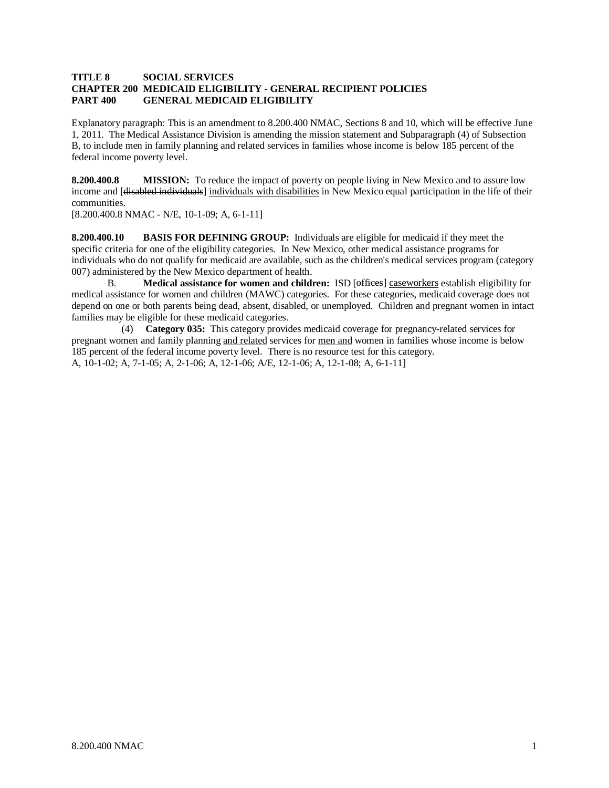#### **TITLE 8 SOCIAL SERVICES CHAPTER 200 MEDICAID ELIGIBILITY - GENERAL RECIPIENT POLICIES PART 400 GENERAL MEDICAID ELIGIBILITY**

Explanatory paragraph: This is an amendment to 8.200.400 NMAC, Sections 8 and 10, which will be effective June 1, 2011. The Medical Assistance Division is amending the mission statement and Subparagraph (4) of Subsection B, to include men in family planning and related services in families whose income is below 185 percent of the federal income poverty level.

**8.200.400.8 MISSION:** To reduce the impact of poverty on people living in New Mexico and to assure low income and [<del>disabled individuals</del>] individuals with disabilities in New Mexico equal participation in the life of their communities.

[8.200.400.8 NMAC - N/E, 10-1-09; A, 6-1-11]

**8.200.400.10 BASIS FOR DEFINING GROUP:** Individuals are eligible for medicaid if they meet the specific criteria for one of the eligibility categories. In New Mexico, other medical assistance programs for individuals who do not qualify for medicaid are available, such as the children's medical services program (category 007) administered by the New Mexico department of health.

B. **Medical assistance for women and children:** ISD [offices] caseworkers establish eligibility for medical assistance for women and children (MAWC) categories. For these categories, medicaid coverage does not depend on one or both parents being dead, absent, disabled, or unemployed. Children and pregnant women in intact families may be eligible for these medicaid categories.

 (4) **Category 035:** This category provides medicaid coverage for pregnancy-related services for pregnant women and family planning and related services for men and women in families whose income is below A, 10-1-02; A, 7-1-05; A, 2-1-06; A, 12-1-06; A/E, 12-1-06; A, 12-1-08; A, 6-1-11] 185 percent of the federal income poverty level. There is no resource test for this category.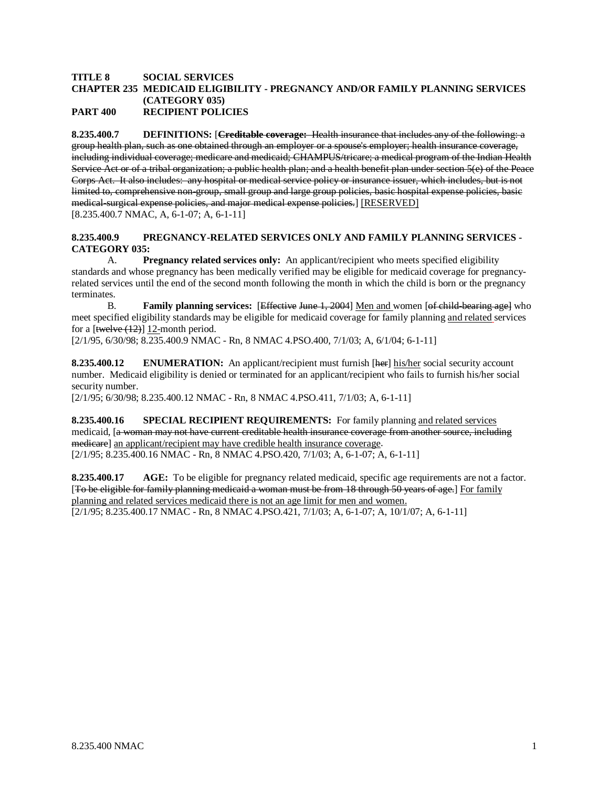#### **TITLE 8 SOCIAL SERVICES CHAPTER 235 MEDICAID ELIGIBILITY - PREGNANCY AND/OR FAMILY PLANNING SERVICES (CATEGORY 035) PART 400 RECIPIENT POLICIES**

**8.235.400.7 DEFINITIONS:** [**Creditable coverage:** Health insurance that includes any of the following: a group health plan, such as one obtained through an employer or a spouse's employer; health insurance coverage, including individual coverage; medicare and medicaid; CHAMPUS/tricare; a medical program of the Indian Health Service Act or of a tribal organization; a public health plan; and a health benefit plan under section 5(e) of the Peace Corps Act. It also includes: any hospital or medical service policy or insurance issuer, which includes, but is not limited to, comprehensive non-group, small group and large group policies, basic hospital expense policies, basic medical-surgical expense policies, and major medical expense policies.] [RESERVED] [8.235.400.7 NMAC, A, 6-1-07; A, 6-1-11]

#### **8.235.400.9 PREGNANCY-RELATED SERVICES ONLY AND FAMILY PLANNING SERVICES - CATEGORY 035:**

A. **Pregnancy related services only:** An applicant/recipient who meets specified eligibility standards and whose pregnancy has been medically verified may be eligible for medicaid coverage for pregnancyrelated services until the end of the second month following the month in which the child is born or the pregnancy terminates.

B. **Family planning services:** [*Effective June 1, 2004*] Men and women [*of child-bearing age]* who meet specified eligibility standards may be eligible for medicaid coverage for family planning and related services for a  $[$ twelve  $(12)]$  12-month period.

[2/1/95, 6/30/98; 8.235.400.9 NMAC - Rn, 8 NMAC 4.PSO.400, 7/1/03; A, 6/1/04; 6-1-11]

**8.235.400.12 ENUMERATION:** An applicant/recipient must furnish [here] his/her social security account number. Medicaid eligibility is denied or terminated for an applicant/recipient who fails to furnish his/her social security number.

[2/1/95; 6/30/98; 8.235.400.12 NMAC - Rn, 8 NMAC 4.PSO.411, 7/1/03; A, 6-1-11]

**8.235.400.16 SPECIAL RECIPIENT REQUIREMENTS:** For family planning and related services medicaid, [a woman may not have current creditable health insurance coverage from another source, including medicare] an applicant/recipient may have credible health insurance coverage. [2/1/95; 8.235.400.16 NMAC - Rn, 8 NMAC 4.PSO.420, 7/1/03; A, 6-1-07; A, 6-1-11]

**8.235.400.17 AGE:** To be eligible for pregnancy related medicaid, specific age requirements are not a factor. [To be eligible for family planning medicaid a woman must be from 18 through 50 years of age.] For family [2/1/95; 8.235.400.17 NMAC - Rn, 8 NMAC 4.PSO.421, 7/1/03; A, 6-1-07; A, 10/1/07; A, 6-1-11] planning and related services medicaid there is not an age limit for men and women.